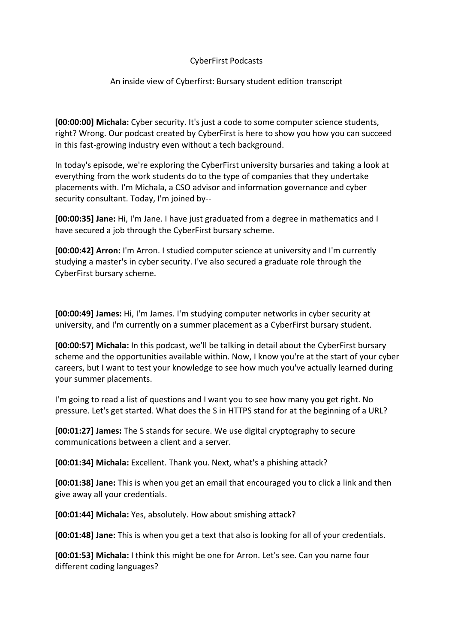## CyberFirst Podcasts

## An inside view of Cyberfirst: Bursary student edition transcript

**[00:00:00] Michala:** Cyber security. It's just a code to some computer science students, right? Wrong. Our podcast created by CyberFirst is here to show you how you can succeed in this fast-growing industry even without a tech background.

In today's episode, we're exploring the CyberFirst university bursaries and taking a look at everything from the work students do to the type of companies that they undertake placements with. I'm Michala, a CSO advisor and information governance and cyber security consultant. Today, I'm joined by--

**[00:00:35] Jane:** Hi, I'm Jane. I have just graduated from a degree in mathematics and I have secured a job through the CyberFirst bursary scheme.

**[00:00:42] Arron:** I'm Arron. I studied computer science at university and I'm currently studying a master's in cyber security. I've also secured a graduate role through the CyberFirst bursary scheme.

**[00:00:49] James:** Hi, I'm James. I'm studying computer networks in cyber security at university, and I'm currently on a summer placement as a CyberFirst bursary student.

**[00:00:57] Michala:** In this podcast, we'll be talking in detail about the CyberFirst bursary scheme and the opportunities available within. Now, I know you're at the start of your cyber careers, but I want to test your knowledge to see how much you've actually learned during your summer placements.

I'm going to read a list of questions and I want you to see how many you get right. No pressure. Let's get started. What does the S in HTTPS stand for at the beginning of a URL?

**[00:01:27] James:** The S stands for secure. We use digital cryptography to secure communications between a client and a server.

**[00:01:34] Michala:** Excellent. Thank you. Next, what's a phishing attack?

**[00:01:38] Jane:** This is when you get an email that encouraged you to click a link and then give away all your credentials.

**[00:01:44] Michala:** Yes, absolutely. How about smishing attack?

**[00:01:48] Jane:** This is when you get a text that also is looking for all of your credentials.

**[00:01:53] Michala:** I think this might be one for Arron. Let's see. Can you name four different coding languages?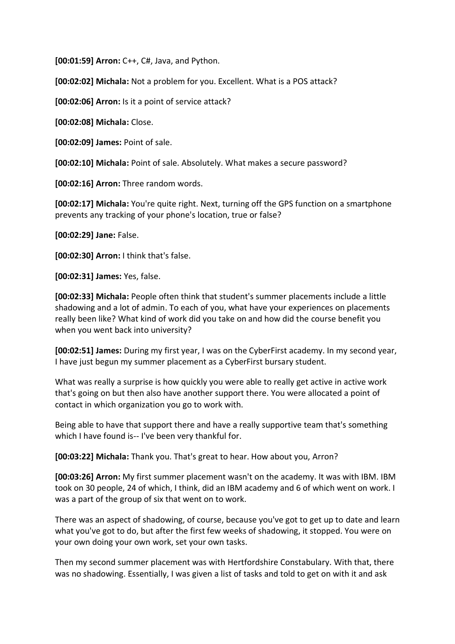**[00:01:59] Arron:** C++, C#, Java, and Python.

**[00:02:02] Michala:** Not a problem for you. Excellent. What is a POS attack?

**[00:02:06] Arron:** Is it a point of service attack?

**[00:02:08] Michala:** Close.

**[00:02:09] James:** Point of sale.

**[00:02:10] Michala:** Point of sale. Absolutely. What makes a secure password?

**[00:02:16] Arron:** Three random words.

**[00:02:17] Michala:** You're quite right. Next, turning off the GPS function on a smartphone prevents any tracking of your phone's location, true or false?

**[00:02:29] Jane:** False.

**[00:02:30] Arron:** I think that's false.

**[00:02:31] James:** Yes, false.

**[00:02:33] Michala:** People often think that student's summer placements include a little shadowing and a lot of admin. To each of you, what have your experiences on placements really been like? What kind of work did you take on and how did the course benefit you when you went back into university?

**[00:02:51] James:** During my first year, I was on the CyberFirst academy. In my second year, I have just begun my summer placement as a CyberFirst bursary student.

What was really a surprise is how quickly you were able to really get active in active work that's going on but then also have another support there. You were allocated a point of contact in which organization you go to work with.

Being able to have that support there and have a really supportive team that's something which I have found is-- I've been very thankful for.

**[00:03:22] Michala:** Thank you. That's great to hear. How about you, Arron?

**[00:03:26] Arron:** My first summer placement wasn't on the academy. It was with IBM. IBM took on 30 people, 24 of which, I think, did an IBM academy and 6 of which went on work. I was a part of the group of six that went on to work.

There was an aspect of shadowing, of course, because you've got to get up to date and learn what you've got to do, but after the first few weeks of shadowing, it stopped. You were on your own doing your own work, set your own tasks.

Then my second summer placement was with Hertfordshire Constabulary. With that, there was no shadowing. Essentially, I was given a list of tasks and told to get on with it and ask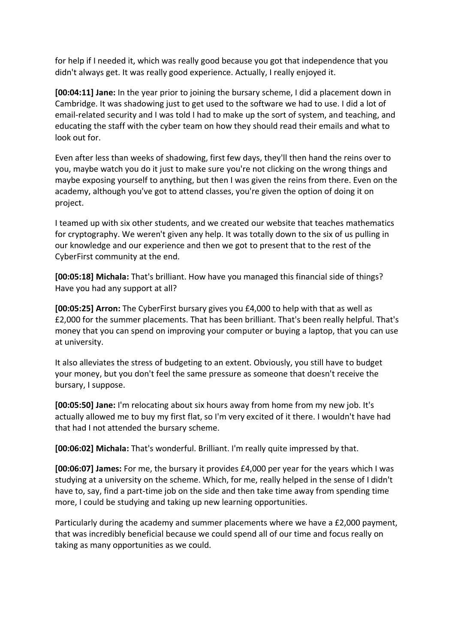for help if I needed it, which was really good because you got that independence that you didn't always get. It was really good experience. Actually, I really enjoyed it.

**[00:04:11] Jane:** In the year prior to joining the bursary scheme, I did a placement down in Cambridge. It was shadowing just to get used to the software we had to use. I did a lot of email-related security and I was told I had to make up the sort of system, and teaching, and educating the staff with the cyber team on how they should read their emails and what to look out for.

Even after less than weeks of shadowing, first few days, they'll then hand the reins over to you, maybe watch you do it just to make sure you're not clicking on the wrong things and maybe exposing yourself to anything, but then I was given the reins from there. Even on the academy, although you've got to attend classes, you're given the option of doing it on project.

I teamed up with six other students, and we created our website that teaches mathematics for cryptography. We weren't given any help. It was totally down to the six of us pulling in our knowledge and our experience and then we got to present that to the rest of the CyberFirst community at the end.

**[00:05:18] Michala:** That's brilliant. How have you managed this financial side of things? Have you had any support at all?

**[00:05:25] Arron:** The CyberFirst bursary gives you £4,000 to help with that as well as £2,000 for the summer placements. That has been brilliant. That's been really helpful. That's money that you can spend on improving your computer or buying a laptop, that you can use at university.

It also alleviates the stress of budgeting to an extent. Obviously, you still have to budget your money, but you don't feel the same pressure as someone that doesn't receive the bursary, I suppose.

**[00:05:50] Jane:** I'm relocating about six hours away from home from my new job. It's actually allowed me to buy my first flat, so I'm very excited of it there. I wouldn't have had that had I not attended the bursary scheme.

**[00:06:02] Michala:** That's wonderful. Brilliant. I'm really quite impressed by that.

**[00:06:07] James:** For me, the bursary it provides £4,000 per year for the years which I was studying at a university on the scheme. Which, for me, really helped in the sense of I didn't have to, say, find a part-time job on the side and then take time away from spending time more, I could be studying and taking up new learning opportunities.

Particularly during the academy and summer placements where we have a £2,000 payment, that was incredibly beneficial because we could spend all of our time and focus really on taking as many opportunities as we could.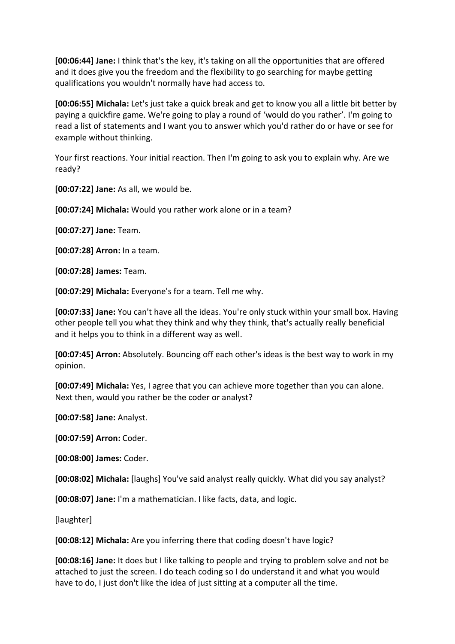**[00:06:44] Jane:** I think that's the key, it's taking on all the opportunities that are offered and it does give you the freedom and the flexibility to go searching for maybe getting qualifications you wouldn't normally have had access to.

**[00:06:55] Michala:** Let's just take a quick break and get to know you all a little bit better by paying a quickfire game. We're going to play a round of 'would do you rather'. I'm going to read a list of statements and I want you to answer which you'd rather do or have or see for example without thinking.

Your first reactions. Your initial reaction. Then I'm going to ask you to explain why. Are we ready?

**[00:07:22] Jane:** As all, we would be.

**[00:07:24] Michala:** Would you rather work alone or in a team?

**[00:07:27] Jane:** Team.

**[00:07:28] Arron:** In a team.

**[00:07:28] James:** Team.

**[00:07:29] Michala:** Everyone's for a team. Tell me why.

**[00:07:33] Jane:** You can't have all the ideas. You're only stuck within your small box. Having other people tell you what they think and why they think, that's actually really beneficial and it helps you to think in a different way as well.

**[00:07:45] Arron:** Absolutely. Bouncing off each other's ideas is the best way to work in my opinion.

**[00:07:49] Michala:** Yes, I agree that you can achieve more together than you can alone. Next then, would you rather be the coder or analyst?

**[00:07:58] Jane:** Analyst.

**[00:07:59] Arron:** Coder.

**[00:08:00] James:** Coder.

**[00:08:02] Michala:** [laughs] You've said analyst really quickly. What did you say analyst?

**[00:08:07] Jane:** I'm a mathematician. I like facts, data, and logic.

[laughter]

**[00:08:12] Michala:** Are you inferring there that coding doesn't have logic?

**[00:08:16] Jane:** It does but I like talking to people and trying to problem solve and not be attached to just the screen. I do teach coding so I do understand it and what you would have to do, I just don't like the idea of just sitting at a computer all the time.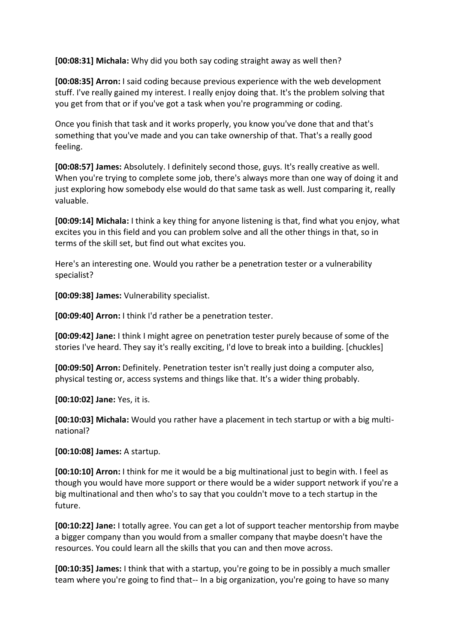**[00:08:31] Michala:** Why did you both say coding straight away as well then?

**[00:08:35] Arron:** I said coding because previous experience with the web development stuff. I've really gained my interest. I really enjoy doing that. It's the problem solving that you get from that or if you've got a task when you're programming or coding.

Once you finish that task and it works properly, you know you've done that and that's something that you've made and you can take ownership of that. That's a really good feeling.

**[00:08:57] James:** Absolutely. I definitely second those, guys. It's really creative as well. When you're trying to complete some job, there's always more than one way of doing it and just exploring how somebody else would do that same task as well. Just comparing it, really valuable.

**[00:09:14] Michala:** I think a key thing for anyone listening is that, find what you enjoy, what excites you in this field and you can problem solve and all the other things in that, so in terms of the skill set, but find out what excites you.

Here's an interesting one. Would you rather be a penetration tester or a vulnerability specialist?

**[00:09:38] James:** Vulnerability specialist.

**[00:09:40] Arron:** I think I'd rather be a penetration tester.

**[00:09:42] Jane:** I think I might agree on penetration tester purely because of some of the stories I've heard. They say it's really exciting, I'd love to break into a building. [chuckles]

**[00:09:50] Arron:** Definitely. Penetration tester isn't really just doing a computer also, physical testing or, access systems and things like that. It's a wider thing probably.

**[00:10:02] Jane:** Yes, it is.

**[00:10:03] Michala:** Would you rather have a placement in tech startup or with a big multinational?

**[00:10:08] James:** A startup.

**[00:10:10] Arron:** I think for me it would be a big multinational just to begin with. I feel as though you would have more support or there would be a wider support network if you're a big multinational and then who's to say that you couldn't move to a tech startup in the future.

**[00:10:22] Jane:** I totally agree. You can get a lot of support teacher mentorship from maybe a bigger company than you would from a smaller company that maybe doesn't have the resources. You could learn all the skills that you can and then move across.

**[00:10:35] James:** I think that with a startup, you're going to be in possibly a much smaller team where you're going to find that-- In a big organization, you're going to have so many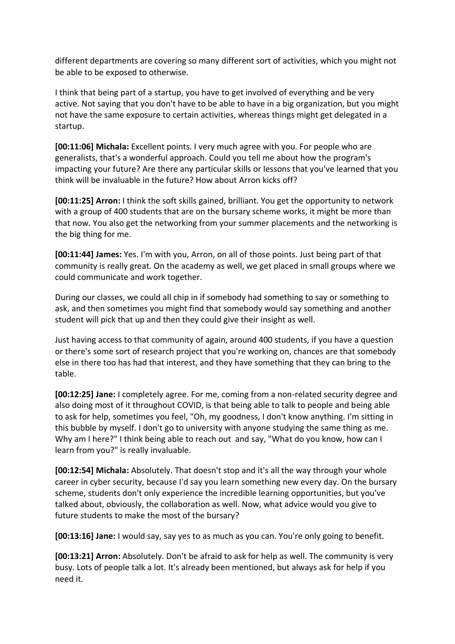different departments are covering so many different sort of activities, which you might not be able to be exposed to otherwise.

I think that being part of a startup, you have to get involved of everything and be very active. Not saying that you don't have to be able to have in a big organization, but you might not have the same exposure to certain activities, whereas things might get delegated in a startup.

**[00:11:06] Michala:** Excellent points. I very much agree with you. For people who are generalists, that's a wonderful approach. Could you tell me about how the program's impacting your future? Are there any particular skills or lessons that you've learned that you think will be invaluable in the future? How about Arron kicks off?

**[00:11:25] Arron:** I think the soft skills gained, brilliant. You get the opportunity to network with a group of 400 students that are on the bursary scheme works, it might be more than that now. You also get the networking from your summer placements and the networking is the big thing for me.

**[00:11:44] James:** Yes. I'm with you, Arron, on all of those points. Just being part of that community is really great. On the academy as well, we get placed in small groups where we could communicate and work together.

During our classes, we could all chip in if somebody had something to say or something to ask, and then sometimes you might find that somebody would say something and another student will pick that up and then they could give their insight as well.

Just having access to that community of again, around 400 students, if you have a question or there's some sort of research project that you're working on, chances are that somebody else in there too has had that interest, and they have something that they can bring to the table.

**[00:12:25] Jane:** I completely agree. For me, coming from a non-related security degree and also doing most of it throughout COVID, is that being able to talk to people and being able to ask for help, sometimes you feel, "Oh, my goodness, I don't know anything. I'm sitting in this bubble by myself. I don't go to university with anyone studying the same thing as me. Why am I here?" I think being able to reach out and say, "What do you know, how can I learn from you?" is really invaluable.

**[00:12:54] Michala:** Absolutely. That doesn't stop and it's all the way through your whole career in cyber security, because I'd say you learn something new every day. On the bursary scheme, students don't only experience the incredible learning opportunities, but you've talked about, obviously, the collaboration as well. Now, what advice would you give to future students to make the most of the bursary?

**[00:13:16] Jane:** I would say, say yes to as much as you can. You're only going to benefit.

**[00:13:21] Arron:** Absolutely. Don't be afraid to ask for help as well. The community is very busy. Lots of people talk a lot. It's already been mentioned, but always ask for help if you need it.